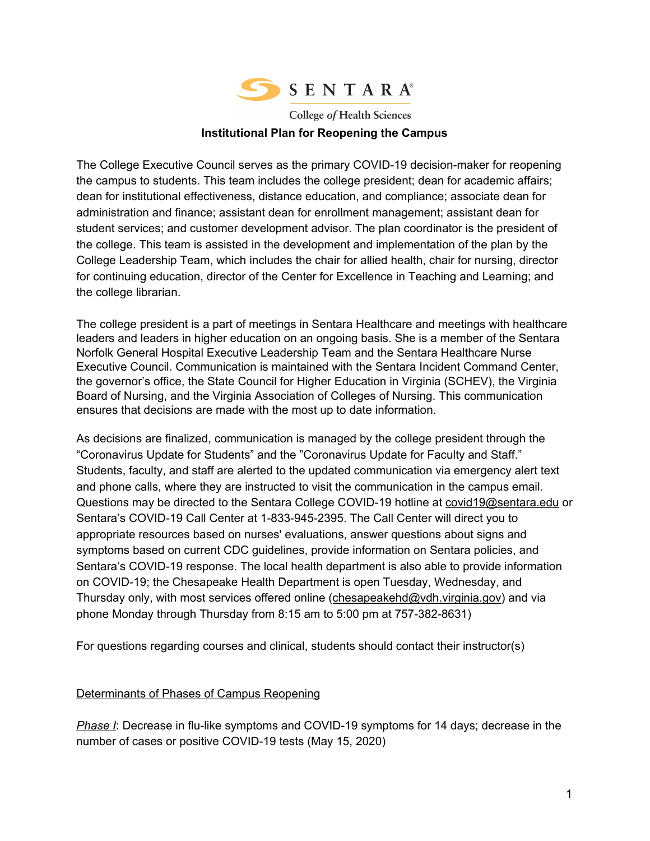

**College of Health Sciences Institutional Plan for Reopening the Campus**

The College Executive Council serves as the primary COVID-19 decision-maker for reopening the campus to students. This team includes the college president; dean for academic affairs; dean for institutional effectiveness, distance education, and compliance; associate dean for administration and finance; assistant dean for enrollment management; assistant dean for student services; and customer development advisor. The plan coordinator is the president of the college. This team is assisted in the development and implementation of the plan by the College Leadership Team, which includes the chair for allied health, chair for nursing, director for continuing education, director of the Center for Excellence in Teaching and Learning; and the college librarian.

The college president is a part of meetings in Sentara Healthcare and meetings with healthcare leaders and leaders in higher education on an ongoing basis. She is a member of the Sentara Norfolk General Hospital Executive Leadership Team and the Sentara Healthcare Nurse Executive Council. Communication is maintained with the Sentara Incident Command Center, the governor's office, the State Council for Higher Education in Virginia (SCHEV), the Virginia Board of Nursing, and the Virginia Association of Colleges of Nursing. This communication ensures that decisions are made with the most up to date information.

As decisions are finalized, communication is managed by the college president through the "Coronavirus Update for Students" and the "Coronavirus Update for Faculty and Staff." Students, faculty, and staff are alerted to the updated communication via emergency alert text and phone calls, where they are instructed to visit the communication in the campus email. Questions may be directed to the Sentara College COVID-19 hotline at [covid19@sentara.edu](mailto:covid19@sentara.edu) or Sentara's COVID-19 Call Center at 1-833-945-2395. The Call Center will direct you to appropriate resources based on nurses' evaluations, answer questions about signs and symptoms based on current CDC guidelines, provide information on Sentara policies, and Sentara's COVID-19 response. The local health department is also able to provide information on COVID-19; the Chesapeake Health Department is open Tuesday, Wednesday, and Thursday only, with most services offered online ([chesapeakehd@vdh.virginia.gov](mailto:chesapeakehd@vdh.virginia.gov)) and via phone Monday through Thursday from 8:15 am to 5:00 pm at 757-382-8631)

For questions regarding courses and clinical, students should contact their instructor(s)

#### Determinants of Phases of Campus Reopening

*Phase I*: Decrease in flu-like symptoms and COVID-19 symptoms for 14 days; decrease in the number of cases or positive COVID-19 tests (May 15, 2020)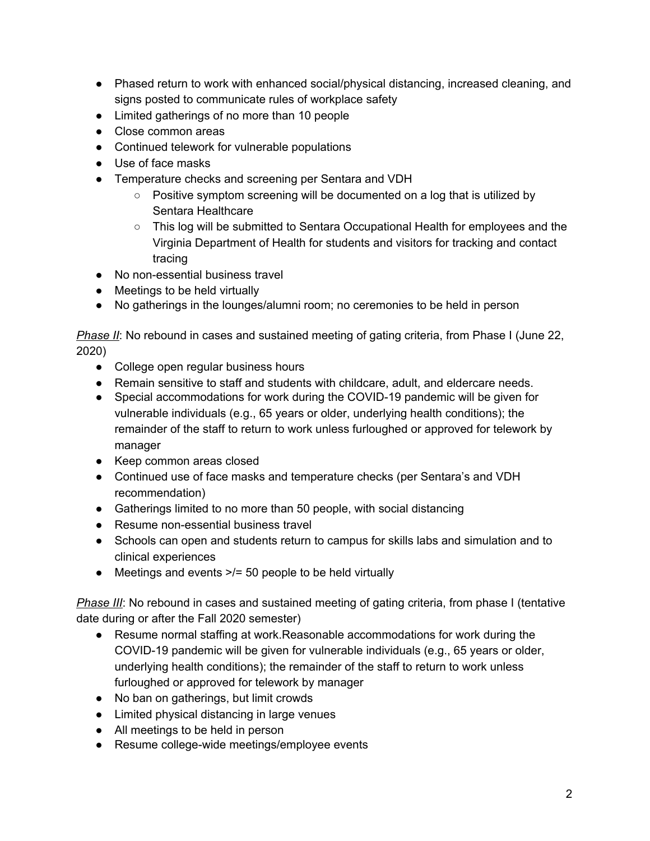- Phased return to work with enhanced social/physical distancing, increased cleaning, and signs posted to communicate rules of workplace safety
- Limited gatherings of no more than 10 people
- Close common areas
- Continued telework for vulnerable populations
- Use of face masks
- Temperature checks and screening per Sentara and VDH
	- $\circ$  Positive symptom screening will be documented on a log that is utilized by Sentara Healthcare
	- This log will be submitted to Sentara Occupational Health for employees and the Virginia Department of Health for students and visitors for tracking and contact tracing
- No non-essential business travel
- Meetings to be held virtually
- No gatherings in the lounges/alumni room; no ceremonies to be held in person

*Phase II*: No rebound in cases and sustained meeting of gating criteria, from Phase I (June 22, 2020)

- College open regular business hours
- Remain sensitive to staff and students with childcare, adult, and eldercare needs.
- Special accommodations for work during the COVID-19 pandemic will be given for vulnerable individuals (e.g., 65 years or older, underlying health conditions); the remainder of the staff to return to work unless furloughed or approved for telework by manager
- Keep common areas closed
- Continued use of face masks and temperature checks (per Sentara's and VDH recommendation)
- Gatherings limited to no more than 50 people, with social distancing
- Resume non-essential business travel
- Schools can open and students return to campus for skills labs and simulation and to clinical experiences
- Meetings and events >/= 50 people to be held virtually

*Phase III*: No rebound in cases and sustained meeting of gating criteria, from phase I (tentative date during or after the Fall 2020 semester)

- Resume normal staffing at work.Reasonable accommodations for work during the COVID-19 pandemic will be given for vulnerable individuals (e.g., 65 years or older, underlying health conditions); the remainder of the staff to return to work unless furloughed or approved for telework by manager
- No ban on gatherings, but limit crowds
- Limited physical distancing in large venues
- All meetings to be held in person
- Resume college-wide meetings/employee events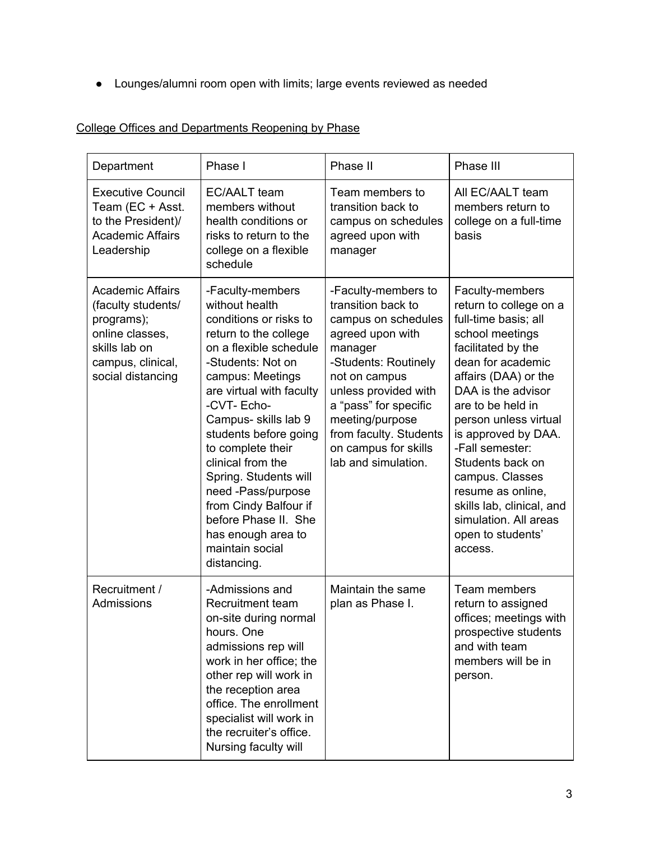● Lounges/alumni room open with limits; large events reviewed as needed

# College Offices and Departments Reopening by Phase

| Department                                                                                                                                | Phase I                                                                                                                                                                                                                                                                                                                                                                                                                                                | Phase II                                                                                                                                                                                                                                                                              | Phase III                                                                                                                                                                                                                                                                                                                                                                                                               |
|-------------------------------------------------------------------------------------------------------------------------------------------|--------------------------------------------------------------------------------------------------------------------------------------------------------------------------------------------------------------------------------------------------------------------------------------------------------------------------------------------------------------------------------------------------------------------------------------------------------|---------------------------------------------------------------------------------------------------------------------------------------------------------------------------------------------------------------------------------------------------------------------------------------|-------------------------------------------------------------------------------------------------------------------------------------------------------------------------------------------------------------------------------------------------------------------------------------------------------------------------------------------------------------------------------------------------------------------------|
| <b>Executive Council</b><br>Team (EC + Asst.<br>to the President)/<br><b>Academic Affairs</b><br>Leadership                               | EC/AALT team<br>members without<br>health conditions or<br>risks to return to the<br>college on a flexible<br>schedule                                                                                                                                                                                                                                                                                                                                 | Team members to<br>transition back to<br>campus on schedules<br>agreed upon with<br>manager                                                                                                                                                                                           | All EC/AALT team<br>members return to<br>college on a full-time<br>basis                                                                                                                                                                                                                                                                                                                                                |
| <b>Academic Affairs</b><br>(faculty students/<br>programs);<br>online classes,<br>skills lab on<br>campus, clinical,<br>social distancing | -Faculty-members<br>without health<br>conditions or risks to<br>return to the college<br>on a flexible schedule<br>-Students: Not on<br>campus: Meetings<br>are virtual with faculty<br>-CVT- Echo-<br>Campus- skills lab 9<br>students before going<br>to complete their<br>clinical from the<br>Spring. Students will<br>need -Pass/purpose<br>from Cindy Balfour if<br>before Phase II. She<br>has enough area to<br>maintain social<br>distancing. | -Faculty-members to<br>transition back to<br>campus on schedules<br>agreed upon with<br>manager<br>-Students: Routinely<br>not on campus<br>unless provided with<br>a "pass" for specific<br>meeting/purpose<br>from faculty. Students<br>on campus for skills<br>lab and simulation. | Faculty-members<br>return to college on a<br>full-time basis; all<br>school meetings<br>facilitated by the<br>dean for academic<br>affairs (DAA) or the<br>DAA is the advisor<br>are to be held in<br>person unless virtual<br>is approved by DAA.<br>-Fall semester:<br>Students back on<br>campus. Classes<br>resume as online,<br>skills lab, clinical, and<br>simulation. All areas<br>open to students'<br>access. |
| Recruitment /<br>Admissions                                                                                                               | -Admissions and<br>Recruitment team<br>on-site during normal<br>hours. One<br>admissions rep will<br>work in her office; the<br>other rep will work in<br>the reception area<br>office. The enrollment<br>specialist will work in<br>the recruiter's office.<br>Nursing faculty will                                                                                                                                                                   | Maintain the same<br>plan as Phase I.                                                                                                                                                                                                                                                 | Team members<br>return to assigned<br>offices; meetings with<br>prospective students<br>and with team<br>members will be in<br>person.                                                                                                                                                                                                                                                                                  |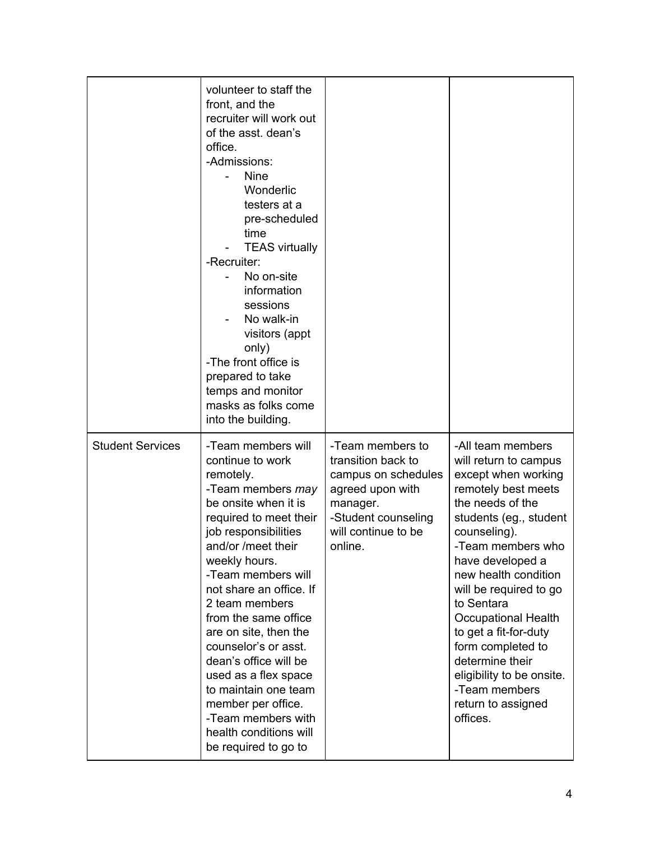|                         | volunteer to staff the<br>front, and the<br>recruiter will work out<br>of the asst. dean's<br>office.<br>-Admissions:<br><b>Nine</b><br>Wonderlic<br>testers at a<br>pre-scheduled<br>time<br><b>TEAS virtually</b><br>-Recruiter:<br>No on-site<br>information<br>sessions<br>No walk-in<br>visitors (appt<br>only)<br>-The front office is<br>prepared to take<br>temps and monitor<br>masks as folks come<br>into the building.                                                                           |                                                                                                                                                        |                                                                                                                                                                                                                                                                                                                                                                                                                                                |
|-------------------------|--------------------------------------------------------------------------------------------------------------------------------------------------------------------------------------------------------------------------------------------------------------------------------------------------------------------------------------------------------------------------------------------------------------------------------------------------------------------------------------------------------------|--------------------------------------------------------------------------------------------------------------------------------------------------------|------------------------------------------------------------------------------------------------------------------------------------------------------------------------------------------------------------------------------------------------------------------------------------------------------------------------------------------------------------------------------------------------------------------------------------------------|
| <b>Student Services</b> | -Team members will<br>continue to work<br>remotely.<br>-Team members may<br>be onsite when it is<br>required to meet their<br>job responsibilities<br>and/or /meet their<br>weekly hours.<br>-Team members will<br>not share an office. If<br>2 team members<br>from the same office<br>are on site, then the<br>counselor's or asst.<br>dean's office will be<br>used as a flex space<br>to maintain one team<br>member per office.<br>-Team members with<br>health conditions will<br>be required to go to | -Team members to<br>transition back to<br>campus on schedules<br>agreed upon with<br>manager.<br>-Student counseling<br>will continue to be<br>online. | -All team members<br>will return to campus<br>except when working<br>remotely best meets<br>the needs of the<br>students (eg., student<br>counseling).<br>-Team members who<br>have developed a<br>new health condition<br>will be required to go<br>to Sentara<br><b>Occupational Health</b><br>to get a fit-for-duty<br>form completed to<br>determine their<br>eligibility to be onsite.<br>-Team members<br>return to assigned<br>offices. |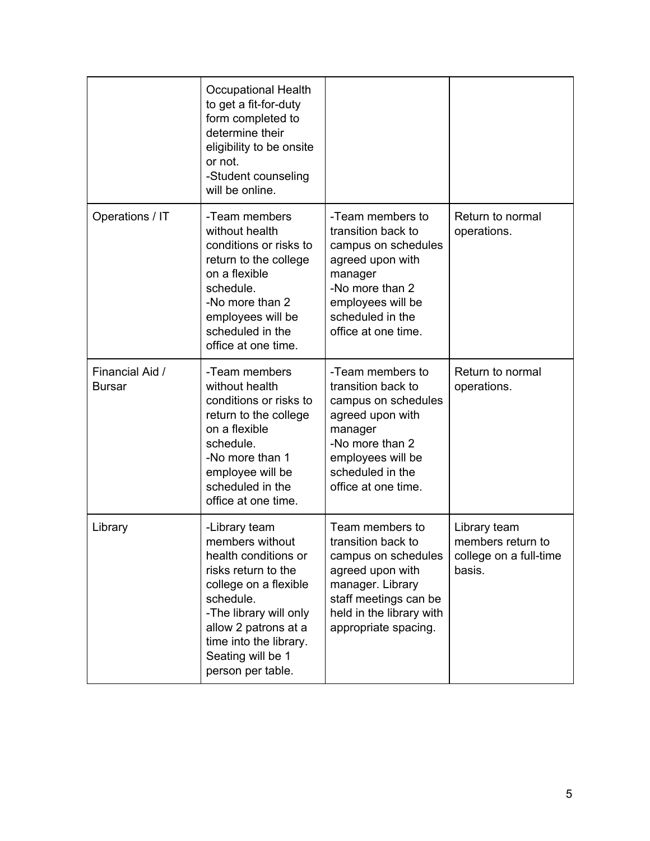|                                  | <b>Occupational Health</b><br>to get a fit-for-duty<br>form completed to<br>determine their<br>eligibility to be onsite<br>or not.<br>-Student counseling<br>will be online.                                                                |                                                                                                                                                                                   |                                                                       |
|----------------------------------|---------------------------------------------------------------------------------------------------------------------------------------------------------------------------------------------------------------------------------------------|-----------------------------------------------------------------------------------------------------------------------------------------------------------------------------------|-----------------------------------------------------------------------|
| Operations / IT                  | -Team members<br>without health<br>conditions or risks to<br>return to the college<br>on a flexible<br>schedule.<br>-No more than 2<br>employees will be<br>scheduled in the<br>office at one time.                                         | -Team members to<br>transition back to<br>campus on schedules<br>agreed upon with<br>manager<br>-No more than 2<br>employees will be<br>scheduled in the<br>office at one time.   | Return to normal<br>operations.                                       |
| Financial Aid /<br><b>Bursar</b> | -Team members<br>without health<br>conditions or risks to<br>return to the college<br>on a flexible<br>schedule.<br>-No more than 1<br>employee will be<br>scheduled in the<br>office at one time.                                          | -Team members to<br>transition back to<br>campus on schedules<br>agreed upon with<br>manager<br>-No more than 2<br>employees will be<br>scheduled in the<br>office at one time.   | Return to normal<br>operations.                                       |
| Library                          | -Library team<br>members without<br>health conditions or<br>risks return to the<br>college on a flexible<br>schedule.<br>-The library will only<br>allow 2 patrons at a<br>time into the library.<br>Seating will be 1<br>person per table. | Team members to<br>transition back to<br>campus on schedules<br>agreed upon with<br>manager. Library<br>staff meetings can be<br>held in the library with<br>appropriate spacing. | Library team<br>members return to<br>college on a full-time<br>basis. |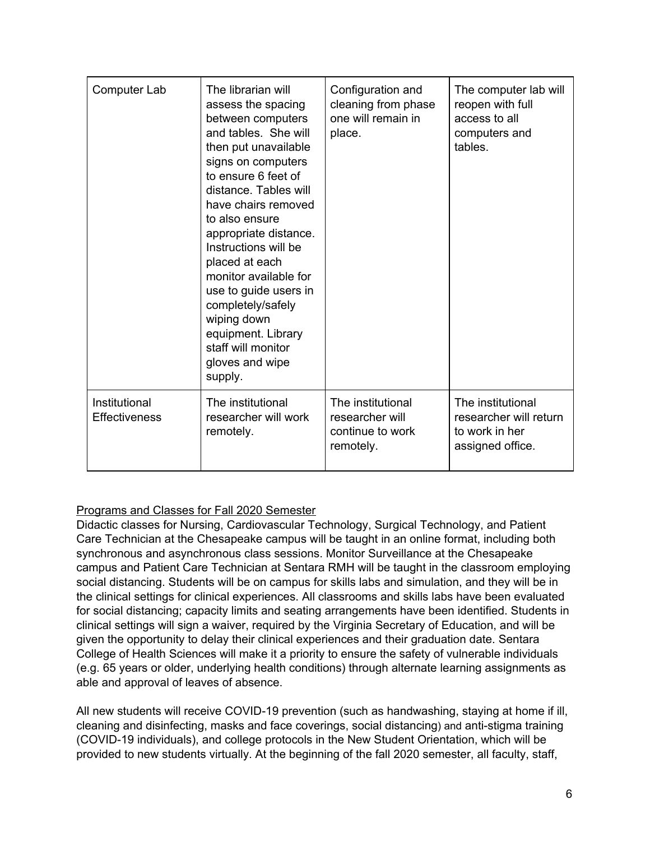| Computer Lab                          | The librarian will<br>assess the spacing<br>between computers<br>and tables. She will<br>then put unavailable<br>signs on computers<br>to ensure 6 feet of<br>distance. Tables will<br>have chairs removed<br>to also ensure<br>appropriate distance.<br>Instructions will be<br>placed at each<br>monitor available for<br>use to guide users in<br>completely/safely<br>wiping down<br>equipment. Library<br>staff will monitor<br>gloves and wipe<br>supply. | Configuration and<br>cleaning from phase<br>one will remain in<br>place. | The computer lab will<br>reopen with full<br>access to all<br>computers and<br>tables. |
|---------------------------------------|-----------------------------------------------------------------------------------------------------------------------------------------------------------------------------------------------------------------------------------------------------------------------------------------------------------------------------------------------------------------------------------------------------------------------------------------------------------------|--------------------------------------------------------------------------|----------------------------------------------------------------------------------------|
| Institutional<br><b>Effectiveness</b> | The institutional<br>researcher will work<br>remotely.                                                                                                                                                                                                                                                                                                                                                                                                          | The institutional<br>researcher will<br>continue to work<br>remotely.    | The institutional<br>researcher will return<br>to work in her<br>assigned office.      |

## Programs and Classes for Fall 2020 Semester

Didactic classes for Nursing, Cardiovascular Technology, Surgical Technology, and Patient Care Technician at the Chesapeake campus will be taught in an online format, including both synchronous and asynchronous class sessions. Monitor Surveillance at the Chesapeake campus and Patient Care Technician at Sentara RMH will be taught in the classroom employing social distancing. Students will be on campus for skills labs and simulation, and they will be in the clinical settings for clinical experiences. All classrooms and skills labs have been evaluated for social distancing; capacity limits and seating arrangements have been identified. Students in clinical settings will sign a waiver, required by the Virginia Secretary of Education, and will be given the opportunity to delay their clinical experiences and their graduation date. Sentara College of Health Sciences will make it a priority to ensure the safety of vulnerable individuals (e.g. 65 years or older, underlying health conditions) through alternate learning assignments as able and approval of leaves of absence.

All new students will receive COVID-19 prevention (such as handwashing, staying at home if ill, cleaning and disinfecting, masks and face coverings, social distancing) and anti-stigma training (COVID-19 individuals), and college protocols in the New Student Orientation, which will be provided to new students virtually. At the beginning of the fall 2020 semester, all faculty, staff,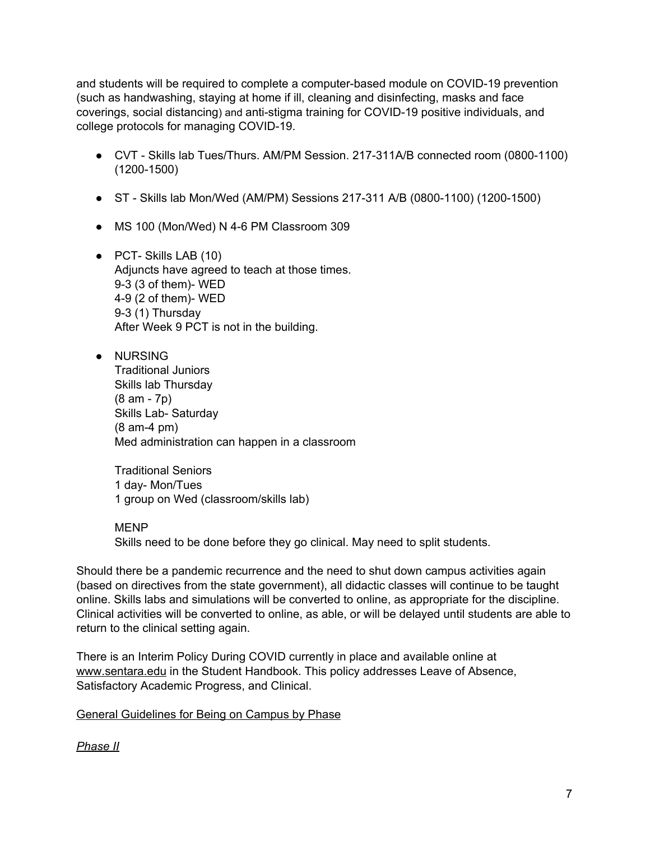and students will be required to complete a computer-based module on COVID-19 prevention (such as handwashing, staying at home if ill, cleaning and disinfecting, masks and face coverings, social distancing) and anti-stigma training for COVID-19 positive individuals, and college protocols for managing COVID-19.

- CVT Skills lab Tues/Thurs. AM/PM Session. 217-311A/B connected room (0800-1100) (1200-1500)
- ST Skills lab Mon/Wed (AM/PM) Sessions 217-311 A/B (0800-1100) (1200-1500)
- MS 100 (Mon/Wed) N 4-6 PM Classroom 309
- PCT- Skills LAB (10) Adjuncts have agreed to teach at those times. 9-3 (3 of them)- WED 4-9 (2 of them)- WED 9-3 (1) Thursday After Week 9 PCT is not in the building.
- NURSING Traditional Juniors Skills lab Thursday (8 am - 7p) Skills Lab- Saturday (8 am-4 pm) Med administration can happen in a classroom

Traditional Seniors 1 day- Mon/Tues 1 group on Wed (classroom/skills lab)

MENP

Skills need to be done before they go clinical. May need to split students.

Should there be a pandemic recurrence and the need to shut down campus activities again (based on directives from the state government), all didactic classes will continue to be taught online. Skills labs and simulations will be converted to online, as appropriate for the discipline. Clinical activities will be converted to online, as able, or will be delayed until students are able to return to the clinical setting again.

There is an Interim Policy During COVID currently in place and available online at [www.sentara.edu](http://www.sentara.edu/) in the Student Handbook. This policy addresses Leave of Absence, Satisfactory Academic Progress, and Clinical.

General Guidelines for Being on Campus by Phase

*Phase II*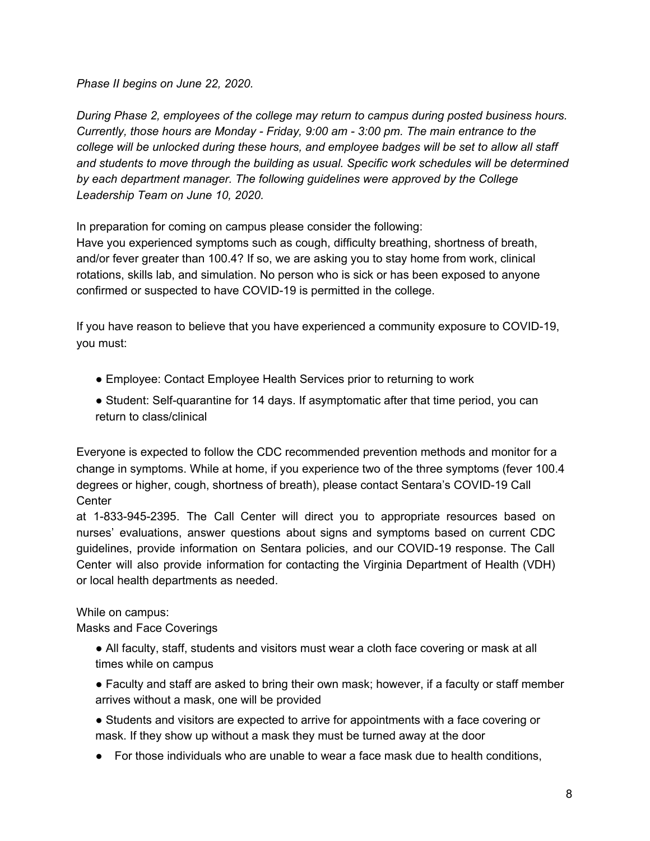*Phase II begins on June 22, 2020.*

*During Phase 2, employees of the college may return to campus during posted business hours. Currently, those hours are Monday - Friday, 9:00 am - 3:00 pm. The main entrance to the college will be unlocked during these hours, and employee badges will be set to allow all staff and students to move through the building as usual. Specific work schedules will be determined by each department manager. The following guidelines were approved by the College Leadership Team on June 10, 2020.*

In preparation for coming on campus please consider the following:

Have you experienced symptoms such as cough, difficulty breathing, shortness of breath, and/or fever greater than 100.4? If so, we are asking you to stay home from work, clinical rotations, skills lab, and simulation. No person who is sick or has been exposed to anyone confirmed or suspected to have COVID-19 is permitted in the college.

If you have reason to believe that you have experienced a community exposure to COVID-19, you must:

- Employee: Contact Employee Health Services prior to returning to work
- Student: Self-quarantine for 14 days. If asymptomatic after that time period, you can return to class/clinical

Everyone is expected to follow the CDC recommended prevention methods and monitor for a change in symptoms. While at home, if you experience two of the three symptoms (fever 100.4 degrees or higher, cough, shortness of breath), please contact Sentara's COVID-19 Call **Center** 

at 1-833-945-2395. The Call Center will direct you to appropriate resources based on nurses' evaluations, answer questions about signs and symptoms based on current CDC guidelines, provide information on Sentara policies, and our COVID-19 response. The Call Center will also provide information for contacting the Virginia Department of Health (VDH) or local health departments as needed.

While on campus:

Masks and Face Coverings

- All faculty, staff, students and visitors must wear a cloth face covering or mask at all times while on campus
- Faculty and staff are asked to bring their own mask; however, if a faculty or staff member arrives without a mask, one will be provided
- Students and visitors are expected to arrive for appointments with a face covering or mask. If they show up without a mask they must be turned away at the door
- For those individuals who are unable to wear a face mask due to health conditions,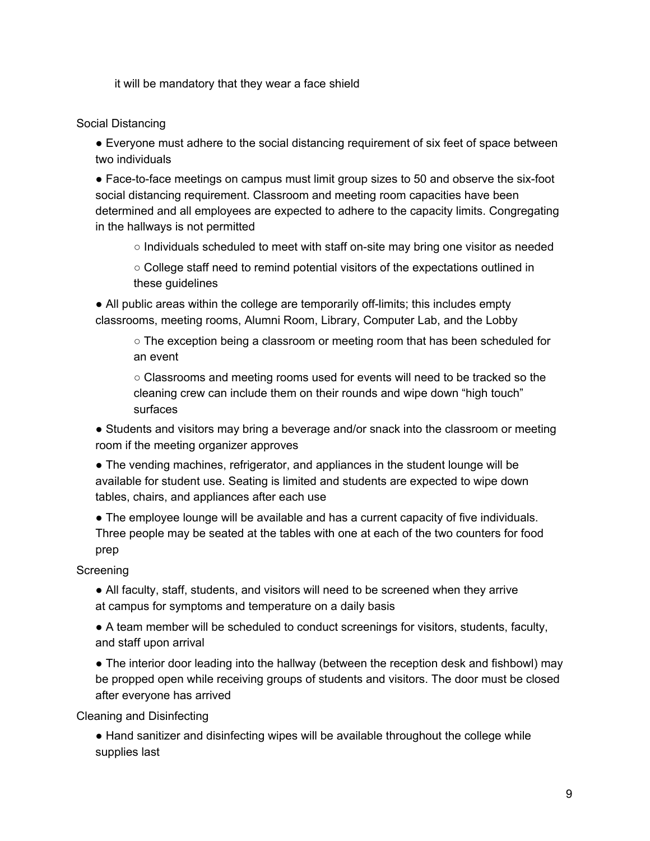it will be mandatory that they wear a face shield

### Social Distancing

● Everyone must adhere to the social distancing requirement of six feet of space between two individuals

● Face-to-face meetings on campus must limit group sizes to 50 and observe the six-foot social distancing requirement. Classroom and meeting room capacities have been determined and all employees are expected to adhere to the capacity limits. Congregating in the hallways is not permitted

- $\circ$  Individuals scheduled to meet with staff on-site may bring one visitor as needed
- College staff need to remind potential visitors of the expectations outlined in these guidelines

● All public areas within the college are temporarily off-limits; this includes empty classrooms, meeting rooms, Alumni Room, Library, Computer Lab, and the Lobby

 $\circ$  The exception being a classroom or meeting room that has been scheduled for an event

○ Classrooms and meeting rooms used for events will need to be tracked so the cleaning crew can include them on their rounds and wipe down "high touch" surfaces

• Students and visitors may bring a beverage and/or snack into the classroom or meeting room if the meeting organizer approves

- The vending machines, refrigerator, and appliances in the student lounge will be available for student use. Seating is limited and students are expected to wipe down tables, chairs, and appliances after each use
- The employee lounge will be available and has a current capacity of five individuals. Three people may be seated at the tables with one at each of the two counters for food prep

## Screening

• All faculty, staff, students, and visitors will need to be screened when they arrive at campus for symptoms and temperature on a daily basis

● A team member will be scheduled to conduct screenings for visitors, students, faculty, and staff upon arrival

• The interior door leading into the hallway (between the reception desk and fishbowl) may be propped open while receiving groups of students and visitors. The door must be closed after everyone has arrived

Cleaning and Disinfecting

• Hand sanitizer and disinfecting wipes will be available throughout the college while supplies last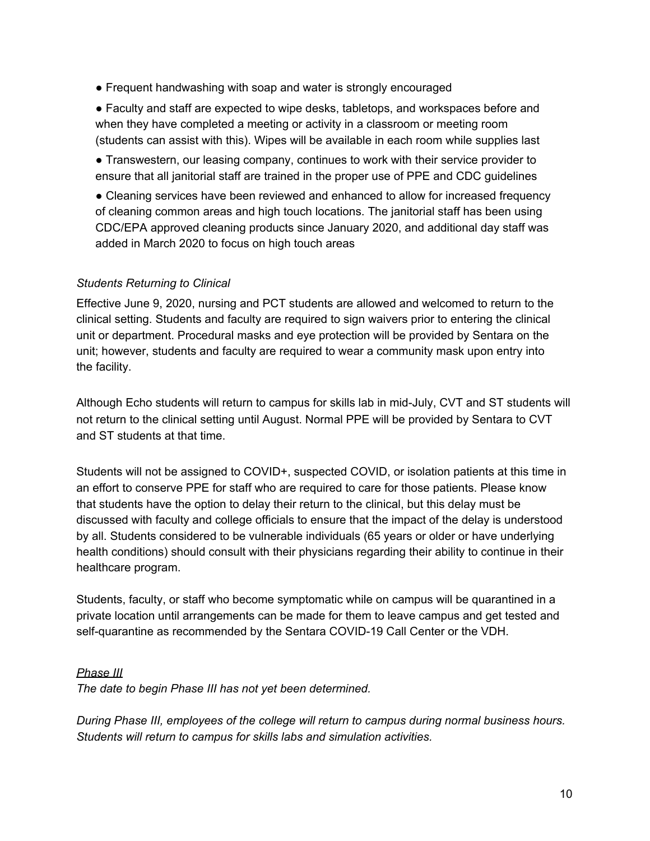● Frequent handwashing with soap and water is strongly encouraged

● Faculty and staff are expected to wipe desks, tabletops, and workspaces before and when they have completed a meeting or activity in a classroom or meeting room (students can assist with this). Wipes will be available in each room while supplies last

● Transwestern, our leasing company, continues to work with their service provider to ensure that all janitorial staff are trained in the proper use of PPE and CDC guidelines

● Cleaning services have been reviewed and enhanced to allow for increased frequency of cleaning common areas and high touch locations. The janitorial staff has been using CDC/EPA approved cleaning products since January 2020, and additional day staff was added in March 2020 to focus on high touch areas

#### *Students Returning to Clinical*

Effective June 9, 2020, nursing and PCT students are allowed and welcomed to return to the clinical setting. Students and faculty are required to sign waivers prior to entering the clinical unit or department. Procedural masks and eye protection will be provided by Sentara on the unit; however, students and faculty are required to wear a community mask upon entry into the facility.

Although Echo students will return to campus for skills lab in mid-July, CVT and ST students will not return to the clinical setting until August. Normal PPE will be provided by Sentara to CVT and ST students at that time.

Students will not be assigned to COVID+, suspected COVID, or isolation patients at this time in an effort to conserve PPE for staff who are required to care for those patients. Please know that students have the option to delay their return to the clinical, but this delay must be discussed with faculty and college officials to ensure that the impact of the delay is understood by all. Students considered to be vulnerable individuals (65 years or older or have underlying health conditions) should consult with their physicians regarding their ability to continue in their healthcare program.

Students, faculty, or staff who become symptomatic while on campus will be quarantined in a private location until arrangements can be made for them to leave campus and get tested and self-quarantine as recommended by the Sentara COVID-19 Call Center or the VDH.

#### *Phase III*

*The date to begin Phase III has not yet been determined.*

*During Phase III, employees of the college will return to campus during normal business hours. Students will return to campus for skills labs and simulation activities.*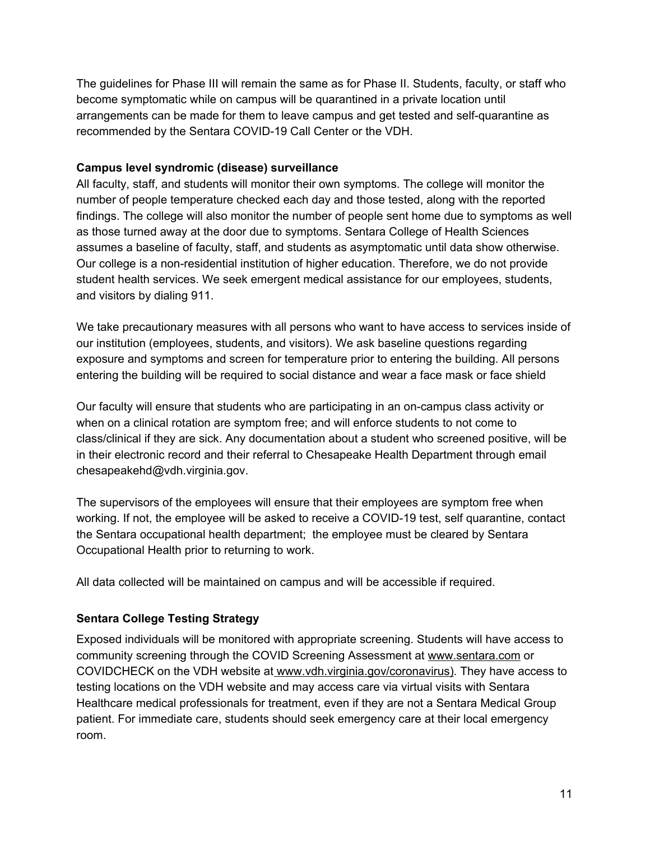The guidelines for Phase III will remain the same as for Phase II. Students, faculty, or staff who become symptomatic while on campus will be quarantined in a private location until arrangements can be made for them to leave campus and get tested and self-quarantine as recommended by the Sentara COVID-19 Call Center or the VDH.

#### **Campus level syndromic (disease) surveillance**

All faculty, staff, and students will monitor their own symptoms. The college will monitor the number of people temperature checked each day and those tested, along with the reported findings. The college will also monitor the number of people sent home due to symptoms as well as those turned away at the door due to symptoms. Sentara College of Health Sciences assumes a baseline of faculty, staff, and students as asymptomatic until data show otherwise. Our college is a non-residential institution of higher education. Therefore, we do not provide student health services. We seek emergent medical assistance for our employees, students, and visitors by dialing 911.

We take precautionary measures with all persons who want to have access to services inside of our institution (employees, students, and visitors). We ask baseline questions regarding exposure and symptoms and screen for temperature prior to entering the building. All persons entering the building will be required to social distance and wear a face mask or face shield

Our faculty will ensure that students who are participating in an on-campus class activity or when on a clinical rotation are symptom free; and will enforce students to not come to class/clinical if they are sick. Any documentation about a student who screened positive, will be in their electronic record and their referral to Chesapeake Health Department through email chesapeakehd@vdh.virginia.gov.

The supervisors of the employees will ensure that their employees are symptom free when working. If not, the employee will be asked to receive a COVID-19 test, self quarantine, contact the Sentara occupational health department; the employee must be cleared by Sentara Occupational Health prior to returning to work.

All data collected will be maintained on campus and will be accessible if required.

## **Sentara College Testing Strategy**

Exposed individuals will be monitored with appropriate screening. Students will have access to community screening through the COVID Screening Assessment at [www.sentar](http://www.sentara/)a.com or COVIDCHECK on the VDH website at [www.vdh.virginia.gov/coronavirus\)](http://www.vdh.virginia.gov/coronavirus). They have access to testing locations on the VDH website and may access care via virtual visits with Sentara Healthcare medical professionals for treatment, even if they are not a Sentara Medical Group patient. For immediate care, students should seek emergency care at their local emergency room.